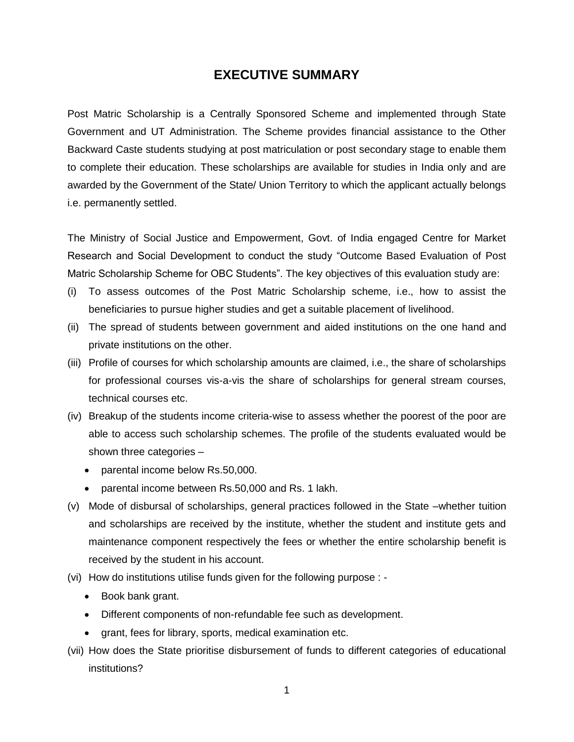# **EXECUTIVE SUMMARY**

Post Matric Scholarship is a Centrally Sponsored Scheme and implemented through State Government and UT Administration. The Scheme provides financial assistance to the Other Backward Caste students studying at post matriculation or post secondary stage to enable them to complete their education. These scholarships are available for studies in India only and are awarded by the Government of the State/ Union Territory to which the applicant actually belongs i.e. permanently settled.

The Ministry of Social Justice and Empowerment, Govt. of India engaged Centre for Market Research and Social Development to conduct the study "Outcome Based Evaluation of Post Matric Scholarship Scheme for OBC Students". The key objectives of this evaluation study are:

- (i) To assess outcomes of the Post Matric Scholarship scheme, i.e., how to assist the beneficiaries to pursue higher studies and get a suitable placement of livelihood.
- (ii) The spread of students between government and aided institutions on the one hand and private institutions on the other.
- (iii) Profile of courses for which scholarship amounts are claimed, i.e., the share of scholarships for professional courses vis-a-vis the share of scholarships for general stream courses, technical courses etc.
- (iv) Breakup of the students income criteria-wise to assess whether the poorest of the poor are able to access such scholarship schemes. The profile of the students evaluated would be shown three categories –
	- parental income below Rs.50,000.
	- parental income between Rs.50,000 and Rs. 1 lakh.
- (v) Mode of disbursal of scholarships, general practices followed in the State –whether tuition and scholarships are received by the institute, whether the student and institute gets and maintenance component respectively the fees or whether the entire scholarship benefit is received by the student in his account.
- (vi) How do institutions utilise funds given for the following purpose :
	- Book bank grant.
	- Different components of non-refundable fee such as development.
	- grant, fees for library, sports, medical examination etc.
- (vii) How does the State prioritise disbursement of funds to different categories of educational institutions?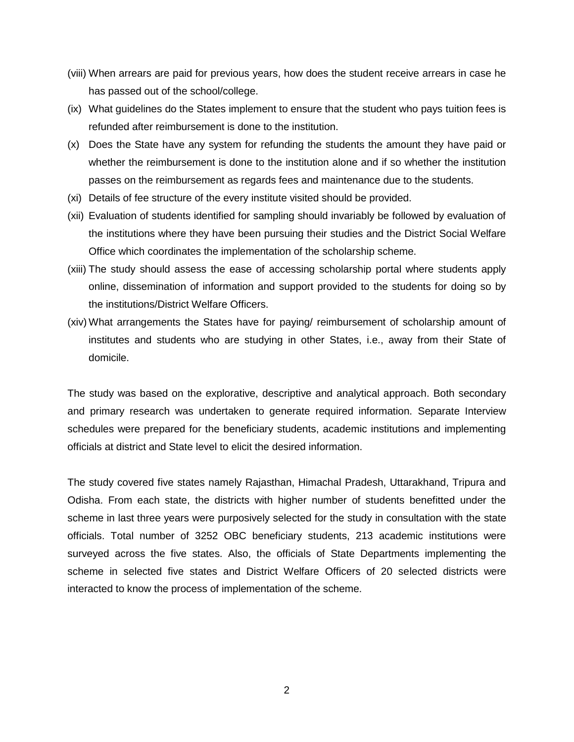- (viii) When arrears are paid for previous years, how does the student receive arrears in case he has passed out of the school/college.
- (ix) What guidelines do the States implement to ensure that the student who pays tuition fees is refunded after reimbursement is done to the institution.
- (x) Does the State have any system for refunding the students the amount they have paid or whether the reimbursement is done to the institution alone and if so whether the institution passes on the reimbursement as regards fees and maintenance due to the students.
- (xi) Details of fee structure of the every institute visited should be provided.
- (xii) Evaluation of students identified for sampling should invariably be followed by evaluation of the institutions where they have been pursuing their studies and the District Social Welfare Office which coordinates the implementation of the scholarship scheme.
- (xiii) The study should assess the ease of accessing scholarship portal where students apply online, dissemination of information and support provided to the students for doing so by the institutions/District Welfare Officers.
- (xiv) What arrangements the States have for paying/ reimbursement of scholarship amount of institutes and students who are studying in other States, i.e., away from their State of domicile.

The study was based on the explorative, descriptive and analytical approach. Both secondary and primary research was undertaken to generate required information. Separate Interview schedules were prepared for the beneficiary students, academic institutions and implementing officials at district and State level to elicit the desired information.

The study covered five states namely Rajasthan, Himachal Pradesh, Uttarakhand, Tripura and Odisha. From each state, the districts with higher number of students benefitted under the scheme in last three years were purposively selected for the study in consultation with the state officials. Total number of 3252 OBC beneficiary students, 213 academic institutions were surveyed across the five states. Also, the officials of State Departments implementing the scheme in selected five states and District Welfare Officers of 20 selected districts were interacted to know the process of implementation of the scheme.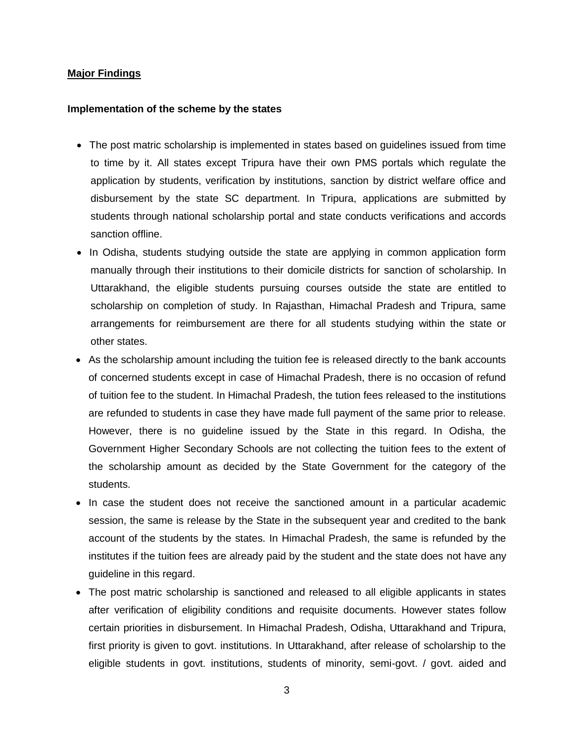### **Major Findings**

#### **Implementation of the scheme by the states**

- The post matric scholarship is implemented in states based on guidelines issued from time to time by it. All states except Tripura have their own PMS portals which regulate the application by students, verification by institutions, sanction by district welfare office and disbursement by the state SC department. In Tripura, applications are submitted by students through national scholarship portal and state conducts verifications and accords sanction offline.
- In Odisha, students studying outside the state are applying in common application form manually through their institutions to their domicile districts for sanction of scholarship. In Uttarakhand, the eligible students pursuing courses outside the state are entitled to scholarship on completion of study. In Rajasthan, Himachal Pradesh and Tripura, same arrangements for reimbursement are there for all students studying within the state or other states.
- As the scholarship amount including the tuition fee is released directly to the bank accounts of concerned students except in case of Himachal Pradesh, there is no occasion of refund of tuition fee to the student. In Himachal Pradesh, the tution fees released to the institutions are refunded to students in case they have made full payment of the same prior to release. However, there is no guideline issued by the State in this regard. In Odisha, the Government Higher Secondary Schools are not collecting the tuition fees to the extent of the scholarship amount as decided by the State Government for the category of the students.
- In case the student does not receive the sanctioned amount in a particular academic session, the same is release by the State in the subsequent year and credited to the bank account of the students by the states. In Himachal Pradesh, the same is refunded by the institutes if the tuition fees are already paid by the student and the state does not have any guideline in this regard.
- The post matric scholarship is sanctioned and released to all eligible applicants in states after verification of eligibility conditions and requisite documents. However states follow certain priorities in disbursement. In Himachal Pradesh, Odisha, Uttarakhand and Tripura, first priority is given to govt. institutions. In Uttarakhand, after release of scholarship to the eligible students in govt. institutions, students of minority, semi-govt. / govt. aided and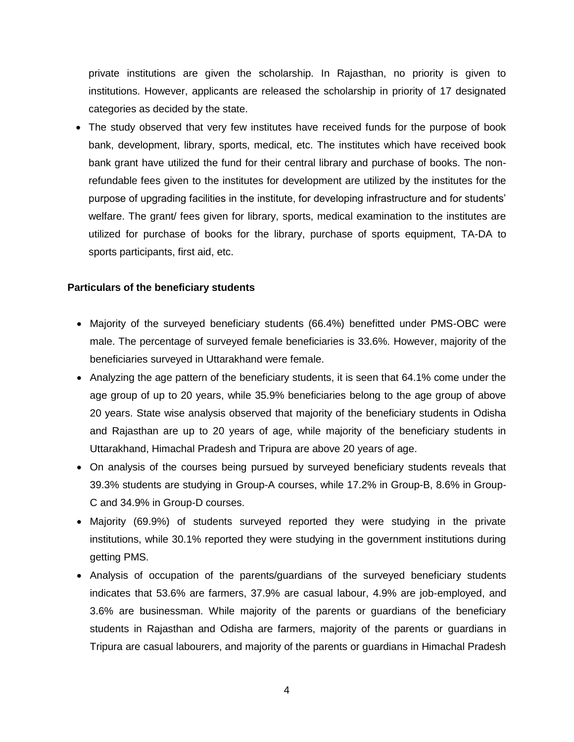private institutions are given the scholarship. In Rajasthan, no priority is given to institutions. However, applicants are released the scholarship in priority of 17 designated categories as decided by the state.

 The study observed that very few institutes have received funds for the purpose of book bank, development, library, sports, medical, etc. The institutes which have received book bank grant have utilized the fund for their central library and purchase of books. The nonrefundable fees given to the institutes for development are utilized by the institutes for the purpose of upgrading facilities in the institute, for developing infrastructure and for students' welfare. The grant/ fees given for library, sports, medical examination to the institutes are utilized for purchase of books for the library, purchase of sports equipment, TA-DA to sports participants, first aid, etc.

### **Particulars of the beneficiary students**

- Majority of the surveyed beneficiary students (66.4%) benefitted under PMS-OBC were male. The percentage of surveyed female beneficiaries is 33.6%. However, majority of the beneficiaries surveyed in Uttarakhand were female.
- Analyzing the age pattern of the beneficiary students, it is seen that 64.1% come under the age group of up to 20 years, while 35.9% beneficiaries belong to the age group of above 20 years. State wise analysis observed that majority of the beneficiary students in Odisha and Rajasthan are up to 20 years of age, while majority of the beneficiary students in Uttarakhand, Himachal Pradesh and Tripura are above 20 years of age.
- On analysis of the courses being pursued by surveyed beneficiary students reveals that 39.3% students are studying in Group-A courses, while 17.2% in Group-B, 8.6% in Group-C and 34.9% in Group-D courses.
- Majority (69.9%) of students surveyed reported they were studying in the private institutions, while 30.1% reported they were studying in the government institutions during getting PMS.
- Analysis of occupation of the parents/guardians of the surveyed beneficiary students indicates that 53.6% are farmers, 37.9% are casual labour, 4.9% are job-employed, and 3.6% are businessman. While majority of the parents or guardians of the beneficiary students in Rajasthan and Odisha are farmers, majority of the parents or guardians in Tripura are casual labourers, and majority of the parents or guardians in Himachal Pradesh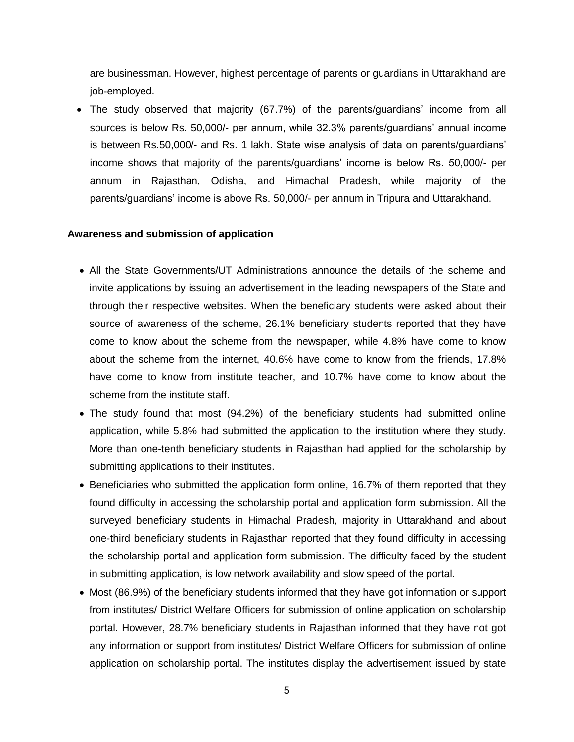are businessman. However, highest percentage of parents or guardians in Uttarakhand are job-employed.

 The study observed that majority (67.7%) of the parents/guardians' income from all sources is below Rs. 50,000/- per annum, while 32.3% parents/guardians' annual income is between Rs.50,000/- and Rs. 1 lakh. State wise analysis of data on parents/guardians' income shows that majority of the parents/guardians' income is below Rs. 50,000/- per annum in Rajasthan, Odisha, and Himachal Pradesh, while majority of the parents/guardians' income is above Rs. 50,000/- per annum in Tripura and Uttarakhand.

#### **Awareness and submission of application**

- All the State Governments/UT Administrations announce the details of the scheme and invite applications by issuing an advertisement in the leading newspapers of the State and through their respective websites. When the beneficiary students were asked about their source of awareness of the scheme, 26.1% beneficiary students reported that they have come to know about the scheme from the newspaper, while 4.8% have come to know about the scheme from the internet, 40.6% have come to know from the friends, 17.8% have come to know from institute teacher, and 10.7% have come to know about the scheme from the institute staff.
- The study found that most (94.2%) of the beneficiary students had submitted online application, while 5.8% had submitted the application to the institution where they study. More than one-tenth beneficiary students in Rajasthan had applied for the scholarship by submitting applications to their institutes.
- Beneficiaries who submitted the application form online, 16.7% of them reported that they found difficulty in accessing the scholarship portal and application form submission. All the surveyed beneficiary students in Himachal Pradesh, majority in Uttarakhand and about one-third beneficiary students in Rajasthan reported that they found difficulty in accessing the scholarship portal and application form submission. The difficulty faced by the student in submitting application, is low network availability and slow speed of the portal.
- Most (86.9%) of the beneficiary students informed that they have got information or support from institutes/ District Welfare Officers for submission of online application on scholarship portal. However, 28.7% beneficiary students in Rajasthan informed that they have not got any information or support from institutes/ District Welfare Officers for submission of online application on scholarship portal. The institutes display the advertisement issued by state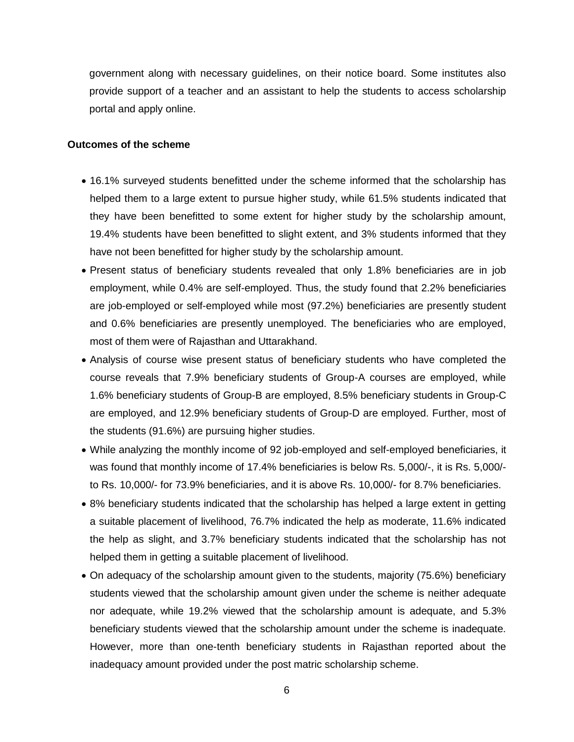government along with necessary guidelines, on their notice board. Some institutes also provide support of a teacher and an assistant to help the students to access scholarship portal and apply online.

## **Outcomes of the scheme**

- 16.1% surveyed students benefitted under the scheme informed that the scholarship has helped them to a large extent to pursue higher study, while 61.5% students indicated that they have been benefitted to some extent for higher study by the scholarship amount, 19.4% students have been benefitted to slight extent, and 3% students informed that they have not been benefitted for higher study by the scholarship amount.
- Present status of beneficiary students revealed that only 1.8% beneficiaries are in job employment, while 0.4% are self-employed. Thus, the study found that 2.2% beneficiaries are job-employed or self-employed while most (97.2%) beneficiaries are presently student and 0.6% beneficiaries are presently unemployed. The beneficiaries who are employed, most of them were of Rajasthan and Uttarakhand.
- Analysis of course wise present status of beneficiary students who have completed the course reveals that 7.9% beneficiary students of Group-A courses are employed, while 1.6% beneficiary students of Group-B are employed, 8.5% beneficiary students in Group-C are employed, and 12.9% beneficiary students of Group-D are employed. Further, most of the students (91.6%) are pursuing higher studies.
- While analyzing the monthly income of 92 job-employed and self-employed beneficiaries, it was found that monthly income of 17.4% beneficiaries is below Rs. 5,000/-, it is Rs. 5,000/ to Rs. 10,000/- for 73.9% beneficiaries, and it is above Rs. 10,000/- for 8.7% beneficiaries.
- 8% beneficiary students indicated that the scholarship has helped a large extent in getting a suitable placement of livelihood, 76.7% indicated the help as moderate, 11.6% indicated the help as slight, and 3.7% beneficiary students indicated that the scholarship has not helped them in getting a suitable placement of livelihood.
- On adequacy of the scholarship amount given to the students, majority (75.6%) beneficiary students viewed that the scholarship amount given under the scheme is neither adequate nor adequate, while 19.2% viewed that the scholarship amount is adequate, and 5.3% beneficiary students viewed that the scholarship amount under the scheme is inadequate. However, more than one-tenth beneficiary students in Rajasthan reported about the inadequacy amount provided under the post matric scholarship scheme.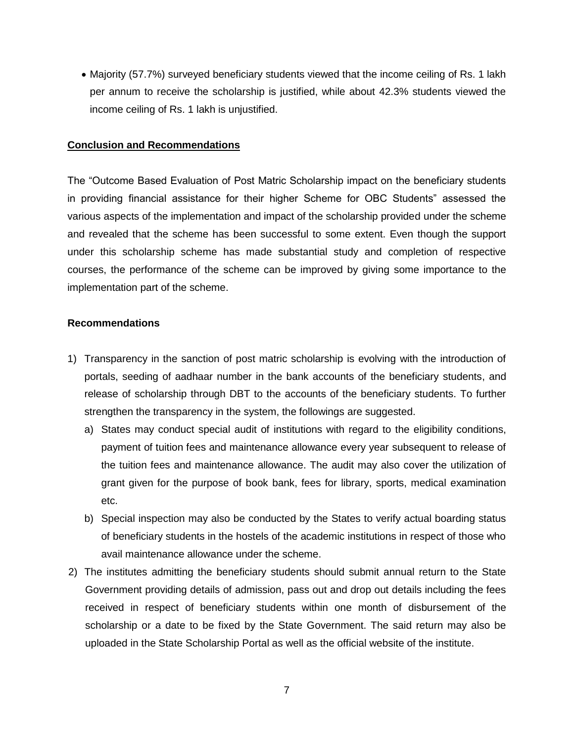• Majority (57.7%) surveyed beneficiary students viewed that the income ceiling of Rs. 1 lakh per annum to receive the scholarship is justified, while about 42.3% students viewed the income ceiling of Rs. 1 lakh is unjustified.

### **Conclusion and Recommendations**

The "Outcome Based Evaluation of Post Matric Scholarship impact on the beneficiary students in providing financial assistance for their higher Scheme for OBC Students" assessed the various aspects of the implementation and impact of the scholarship provided under the scheme and revealed that the scheme has been successful to some extent. Even though the support under this scholarship scheme has made substantial study and completion of respective courses, the performance of the scheme can be improved by giving some importance to the implementation part of the scheme.

## **Recommendations**

- 1) Transparency in the sanction of post matric scholarship is evolving with the introduction of portals, seeding of aadhaar number in the bank accounts of the beneficiary students, and release of scholarship through DBT to the accounts of the beneficiary students. To further strengthen the transparency in the system, the followings are suggested.
	- a) States may conduct special audit of institutions with regard to the eligibility conditions, payment of tuition fees and maintenance allowance every year subsequent to release of the tuition fees and maintenance allowance. The audit may also cover the utilization of grant given for the purpose of book bank, fees for library, sports, medical examination etc.
	- b) Special inspection may also be conducted by the States to verify actual boarding status of beneficiary students in the hostels of the academic institutions in respect of those who avail maintenance allowance under the scheme.
- 2) The institutes admitting the beneficiary students should submit annual return to the State Government providing details of admission, pass out and drop out details including the fees received in respect of beneficiary students within one month of disbursement of the scholarship or a date to be fixed by the State Government. The said return may also be uploaded in the State Scholarship Portal as well as the official website of the institute.